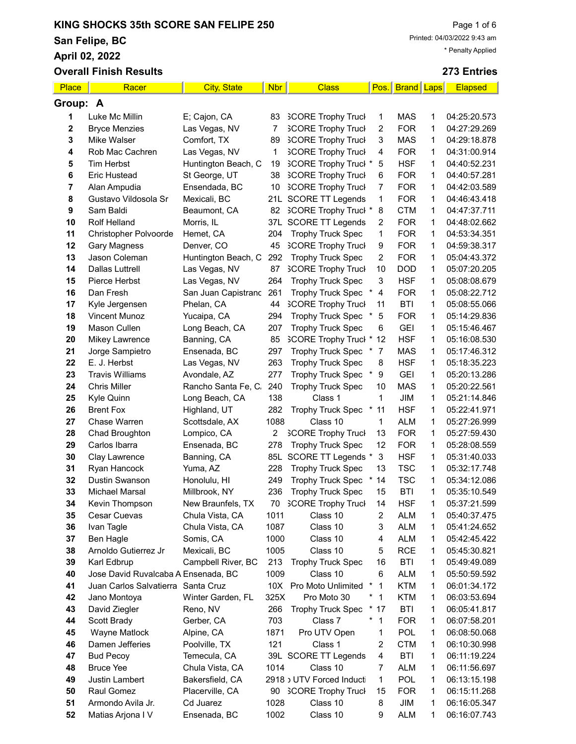San Felipe, BC

April 02

**Place Overall** 

**Group:** 

|             | ur r enpe, Do<br>* Penalty Applied |                     |            |                             |                          |              |      |                |  |
|-------------|------------------------------------|---------------------|------------|-----------------------------|--------------------------|--------------|------|----------------|--|
|             | pril 02, 2022                      |                     |            |                             |                          |              |      |                |  |
|             | verall Finish Results              |                     |            |                             |                          |              |      | 273 Entries    |  |
| <u>lace</u> | Racer                              | <b>City, State</b>  | <b>Nbr</b> | <b>Class</b>                | Pos.                     | <b>Brand</b> | Laps | <b>Elapsed</b> |  |
| oup: A      |                                    |                     |            |                             |                          |              |      |                |  |
| 1           | Luke Mc Millin                     | E; Cajon, CA        | 83         | <b>SCORE Trophy Truck</b>   | 1                        | <b>MAS</b>   | 1    | 04:25:20.573   |  |
| $\mathbf 2$ | <b>Bryce Menzies</b>               | Las Vegas, NV       | 7          | <b>SCORE Trophy Truck</b>   | 2                        | <b>FOR</b>   | 1    | 04:27:29.269   |  |
| 3           | Mike Walser                        | Comfort, TX         | 89         | <b>SCORE Trophy Truck</b>   | 3                        | <b>MAS</b>   | 1    | 04:29:18.878   |  |
| 4           | Rob Mac Cachren                    | Las Vegas, NV       | 1          | <b>SCORE Trophy Truck</b>   | 4                        | <b>FOR</b>   | 1    | 04:31:00.914   |  |
| 5           | <b>Tim Herbst</b>                  | Huntington Beach, C | 19         | <b>SCORE Trophy Truck *</b> | 5                        | <b>HSF</b>   | 1    | 04:40:52.231   |  |
| 6           | <b>Eric Hustead</b>                | St George, UT       | 38         | <b>SCORE Trophy Truck</b>   | 6                        | <b>FOR</b>   | 1    | 04:40:57.281   |  |
| 7           | Alan Ampudia                       | Ensendada, BC       | 10         | <b>SCORE Trophy Truck</b>   | 7                        | <b>FOR</b>   | 1    | 04:42:03.589   |  |
| 8           | Gustavo Vildosola Sr               | Mexicali, BC        | 21L        | <b>SCORE TT Legends</b>     | 1                        | <b>FOR</b>   | 1    | 04:46:43.418   |  |
| 9           | Sam Baldi                          | Beaumont, CA        | 82         | <b>SCORE Trophy Truck *</b> | 8                        | <b>CTM</b>   | 1    | 04:47:37.711   |  |
| 10          | <b>Rolf Helland</b>                | Morris, IL          | 37L        | <b>SCORE TT Legends</b>     | 2                        | <b>FOR</b>   | 1    | 04:48:02.662   |  |
| 11          | Christopher Polvoorde              | Hemet, CA           | 204        | <b>Trophy Truck Spec</b>    | 1                        | <b>FOR</b>   | 1    | 04:53:34.351   |  |
| 12          | <b>Gary Magness</b>                | Denver, CO          | 45         | <b>SCORE Trophy Truck</b>   | 9                        | <b>FOR</b>   | 1    | 04:59:38.317   |  |
| 13          | Jason Coleman                      | Huntington Beach, C | 292        | <b>Trophy Truck Spec</b>    | $\overline{c}$           | <b>FOR</b>   | 1    | 05:04:43.372   |  |
| 14          | <b>Dallas Luttrell</b>             | Las Vegas, NV       | 87         | <b>SCORE Trophy Truck</b>   | 10                       | <b>DOD</b>   | 1    | 05:07:20.205   |  |
| 15          | Pierce Herbst                      | Las Vegas, NV       | 264        | <b>Trophy Truck Spec</b>    | 3                        | <b>HSF</b>   | 1    | 05:08:08.679   |  |
| 16          | Dan Fresh                          | San Juan Capistranc | 261        | <b>Trophy Truck Spec</b>    | 4                        | <b>FOR</b>   | 1    | 05:08:22.712   |  |
| 17          | Kyle Jergensen                     | Phelan, CA          | 44         | <b>SCORE Trophy Truck</b>   | 11                       | <b>BTI</b>   | 1    | 05:08:55.066   |  |
| 18          | <b>Vincent Munoz</b>               | Yucaipa, CA         | 294        | Trophy Truck Spec           | 5                        | <b>FOR</b>   | 1    | 05:14:29.836   |  |
| 19          | Mason Cullen                       | Long Beach, CA      | 207        | <b>Trophy Truck Spec</b>    | 6                        | <b>GEI</b>   | 1    | 05:15:46.467   |  |
| 20          | <b>Mikey Lawrence</b>              | Banning, CA         | 85         | <b>SCORE Trophy Truck *</b> | 12                       | <b>HSF</b>   | 1    | 05:16:08.530   |  |
| 21          | Jorge Sampietro                    | Ensenada, BC        | 297        | <b>Trophy Truck Spec</b>    | $\overline{7}$<br>$\ast$ | <b>MAS</b>   | 1    | 05:17:46.312   |  |
| 22          | E. J. Herbst                       | Las Vegas, NV       | 263        | <b>Trophy Truck Spec</b>    | 8                        | <b>HSF</b>   | 1    | 05:18:35.223   |  |
| 23          | <b>Travis Williams</b>             | Avondale, AZ        | 277        | <b>Trophy Truck Spec</b>    | $\ast$<br>9              | <b>GEI</b>   | 1    | 05:20:13.286   |  |
| 24          | <b>Chris Miller</b>                | Rancho Santa Fe, C. | 240        | <b>Trophy Truck Spec</b>    | 10                       | <b>MAS</b>   | 1    | 05:20:22.561   |  |
| 25          | Kyle Quinn                         | Long Beach, CA      | 138        | Class 1                     | 1                        | JIM          | 1    | 05:21:14.846   |  |
| 26          | <b>Brent Fox</b>                   | Highland, UT        | 282        | <b>Trophy Truck Spec</b>    | 11                       | <b>HSF</b>   | 1    | 05:22:41.971   |  |
| 27          | Chase Warren                       | Scottsdale, AX      | 1088       | Class 10                    | 1                        | <b>ALM</b>   | 1    | 05:27:26.999   |  |
| 28          | Chad Broughton                     | Lompico, CA         | 2          | <b>SCORE Trophy Truck</b>   | 13                       | <b>FOR</b>   | 1    | 05:27:59.430   |  |
| 29          | Carlos Ibarra                      | Ensenada, BC        | 278        | <b>Trophy Truck Spec</b>    | 12                       | <b>FOR</b>   | 1    | 05:28:08.559   |  |
| 30          | Clay Lawrence                      | Banning, CA         |            | 85L SCORE TT Legends *      | 3                        | <b>HSF</b>   | 1    | 05:31:40.033   |  |
| 31          | Ryan Hancock                       | Yuma, AZ            | 228        | <b>Trophy Truck Spec</b>    | 13                       | <b>TSC</b>   | 1    | 05:32:17.748   |  |
| 32          | Dustin Swanson                     | Honolulu, HI        | 249        | <b>Trophy Truck Spec</b>    | 14                       | <b>TSC</b>   | 1    | 05:34:12.086   |  |
| 33          | Michael Marsal                     | Millbrook, NY       | 236        | <b>Trophy Truck Spec</b>    | 15                       | <b>BTI</b>   | 1    | 05:35:10.549   |  |
| 34          | Kevin Thompson                     | New Braunfels, TX   | 70         | <b>SCORE Trophy Truck</b>   | 14                       | <b>HSF</b>   | 1    | 05:37:21.599   |  |
| 35          | Cesar Cuevas                       | Chula Vista, CA     | 1011       | Class 10                    | $\overline{\mathbf{c}}$  | <b>ALM</b>   | 1    | 05:40:37.475   |  |
| 36          | Ivan Tagle                         | Chula Vista, CA     | 1087       | Class 10                    | 3                        | <b>ALM</b>   | 1    | 05:41:24.652   |  |
| 37          | Ben Hagle                          | Somis, CA           | 1000       | Class 10                    | 4                        | <b>ALM</b>   | 1    | 05:42:45.422   |  |
| 38          | Arnoldo Gutierrez Jr               | Mexicali, BC        | 1005       | Class 10                    | 5                        | <b>RCE</b>   | 1    | 05:45:30.821   |  |

 Karl Edbrup Campbell River, BC 213 Trophy Truck Spec 16 BTI 1 05:49:49.089 40 Jose David Ruvalcaba A Ensenada, BC 1009 Class 10 6 ALM 1 05:50:59.592 Juan Carlos Salvatierra Santa Cruz 10X Pro Moto Unlimited \* 1 KTM 1 06:01:34.172 Jano Montoya Winter Garden, FL 325X Pro Moto 30 \* 1 KTM 1 06:03:53.694 43 David Ziegler Reno, NV 266 Trophy Truck Spec \* 17 BTI 1 06:05:41.817 Scott Brady Gerber, CA 703 Class 7 \* 1 FOR 1 06:07:58.201 Wayne Matlock Alpine, CA 1871 Pro UTV Open 1 POL 1 06:08:50.068

52 Matias Arjona I V Ensenada, BC 1002 Class 10 9 ALM 1 06:16:07.743

| 46 | Damen Jefferies      | Poolville, TX   | 121<br>Class 1              |   | 2 CTM      | 06:10:30.998 |
|----|----------------------|-----------------|-----------------------------|---|------------|--------------|
|    | 47 Bud Pecoy         | Temecula, CA    | 39L SCORE TT Legends 4      |   | BTI        | 06:11:19.224 |
| 48 | Bruce Yee            | Chula Vista, CA | Class 10<br>1014            |   | ALM        | 06:11:56.697 |
| 49 | Justin Lambert       | Bakersfield, CA | 2918 › UTV Forced Inducti 1 |   | <b>POL</b> | 06:13:15.198 |
| 50 | Raul Gomez           | Placerville, CA | 90 SCORE Trophy Truck 15    |   | <b>FOR</b> | 06:15:11.268 |
|    | 51 Armondo Avila Jr. | Cd Juarez       | 1028<br>Class 10            | 8 | JIM.       | 06:16:05.347 |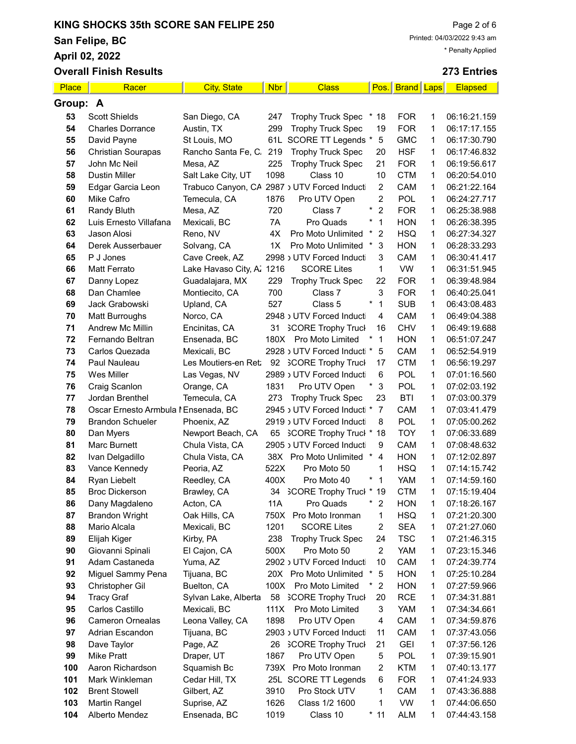San Felipe, BC

April 02, 2022

|          | <b>Overall Finish Results</b>        |                                      |            |                                               |                           |                   |        | 273 Entries                  |
|----------|--------------------------------------|--------------------------------------|------------|-----------------------------------------------|---------------------------|-------------------|--------|------------------------------|
| Place    | Racer                                | <b>City, State</b>                   | <b>Nbr</b> | <b>Class</b>                                  |                           | Pos. Brand Laps   |        | <b>Elapsed</b>               |
| Group: A |                                      |                                      |            |                                               |                           |                   |        |                              |
| 53       | <b>Scott Shields</b>                 | San Diego, CA                        | 247        | <b>Trophy Truck Spec</b>                      | 18<br>×                   | <b>FOR</b>        | 1      | 06:16:21.159                 |
| 54       | <b>Charles Dorrance</b>              | Austin, TX                           | 299        | <b>Trophy Truck Spec</b>                      | 19                        | <b>FOR</b>        | 1      | 06:17:17.155                 |
| 55       | David Payne                          | St Louis, MO                         | 61L        | SCORE TT Legends *                            | $\mathbf 5$               | <b>GMC</b>        | 1      | 06:17:30.790                 |
| 56       | <b>Christian Sourapas</b>            | Rancho Santa Fe, C.                  | 219        | <b>Trophy Truck Spec</b>                      | 20                        | <b>HSF</b>        | 1      | 06:17:46.832                 |
| 57       | John Mc Neil                         | Mesa, AZ                             | 225        | <b>Trophy Truck Spec</b>                      | 21                        | <b>FOR</b>        | 1      | 06:19:56.617                 |
| 58       | <b>Dustin Miller</b>                 | Salt Lake City, UT                   | 1098       | Class 10                                      | 10                        | <b>CTM</b>        | 1      | 06:20:54.010                 |
| 59       | Edgar Garcia Leon                    | Trabuco Canyon, CA                   |            | 2987 JUTV Forced Inducti                      | 2                         | CAM               | 1      | 06:21:22.164                 |
| 60       | Mike Cafro                           | Temecula, CA                         | 1876       | Pro UTV Open                                  | $\overline{2}$            | POL               | 1      | 06:24:27.717                 |
| 61       | Randy Bluth                          | Mesa, AZ                             | 720        | Class 7                                       | $\overline{2}$<br>*       | <b>FOR</b>        | 1      | 06:25:38.988                 |
| 62       | Luis Ernesto Villafana               | Mexicali, BC                         | 7A         | Pro Quads                                     | 1                         | <b>HON</b>        | 1      | 06:26:38.395                 |
| 63       | Jason Alosi                          | Reno, NV                             | 4X         | Pro Moto Unlimited                            | $\ast$<br>2               | <b>HSQ</b>        | 1      | 06:27:34.327                 |
| 64       | Derek Ausserbauer                    | Solvang, CA                          | 1X         | Pro Moto Unlimited                            | 3<br>$\ast$               | <b>HON</b>        | 1      | 06:28:33.293                 |
| 65       | P J Jones                            | Cave Creek, AZ                       |            | 2998 JUTV Forced Inducti                      | 3                         | <b>CAM</b>        | 1      | 06:30:41.417                 |
| 66       | Matt Ferrato                         | Lake Havaso City, A.                 | 1216       | <b>SCORE Lites</b>                            | 1                         | <b>VW</b>         | 1      | 06:31:51.945                 |
| 67       | Danny Lopez                          | Guadalajara, MX                      | 229        | <b>Trophy Truck Spec</b>                      | 22                        | <b>FOR</b>        | 1      | 06:39:48.984                 |
| 68       | Dan Chamlee                          | Montiecito, CA                       | 700        | Class 7                                       | 3                         | <b>FOR</b>        | 1      | 06:40:25.041                 |
| 69       | Jack Grabowski                       | Upland, CA                           | 527        | Class 5                                       | $^\star$<br>1             | <b>SUB</b>        | 1      | 06:43:08.483                 |
| 70       | <b>Matt Burroughs</b>                | Norco, CA                            |            | 2948 JUTV Forced Inducti                      | 4                         | CAM               | 1      | 06:49:04.388                 |
| 71       | <b>Andrew Mc Millin</b>              | Encinitas, CA                        | 31         | <b>SCORE Trophy Truck</b>                     | 16                        | <b>CHV</b>        | 1      | 06:49:19.688                 |
| 72       | Fernando Beltran                     | Ensenada, BC                         | 180X       | Pro Moto Limited                              | 1                         | <b>HON</b>        | 1      | 06:51:07.247                 |
| 73       | Carlos Quezada                       | Mexicali, BC                         |            | 2928 J UTV Forced Inducti *                   | 5                         | CAM               | 1      | 06:52:54.919                 |
| 74       | Paul Nauleau                         | Les Moutiers-en Ret:                 |            | 92 SCORE Trophy Truck                         | 17                        | <b>CTM</b>        | 1      | 06:56:19.297                 |
| 75       | Wes Miller                           | Las Vegas, NV                        |            | 2989 JUTV Forced Inducti                      | 6                         | POL               | 1      | 07:01:16.560                 |
| 76       | Craig Scanlon                        | Orange, CA                           | 1831       | Pro UTV Open                                  | 3                         | POL               | 1      | 07:02:03.192                 |
| 77       | Jordan Brenthel                      | Temecula, CA                         | 273        | <b>Trophy Truck Spec</b>                      | 23                        | <b>BTI</b>        | 1      | 07:03:00.379                 |
| 78       | Oscar Ernesto Armbula I Ensenada, BC |                                      |            | 2945 JUTV Forced Inducti *                    | $\overline{7}$            | CAM               | 1      | 07:03:41.479                 |
| 79       | <b>Brandon Schueler</b>              | Phoenix, AZ                          |            | 2919 JUTV Forced Inducti                      | 8                         | POL               | 1      | 07:05:00.262                 |
| 80       | Dan Myers                            | Newport Beach, CA                    | 65         | <b>SCORE Trophy Truck * 18</b>                |                           | <b>TOY</b>        | 1      | 07:06:33.689                 |
| 81       | Marc Burnett                         | Chula Vista, CA                      |            | 2905 J UTV Forced Inducti                     | 9                         | CAM               | 1      | 07:08:48.632                 |
| 82       | Ivan Delgadillo                      | Chula Vista, CA                      |            | 38X Pro Moto Unlimited *                      | 4                         | <b>HON</b>        | 1      | 07:12:02.897                 |
| 83       | Vance Kennedy                        | Peoria, AZ                           | 522X       | Pro Moto 50                                   | 1                         | <b>HSQ</b>        | 1      | 07:14:15.742                 |
| 84       | Ryan Liebelt                         | Reedley, CA                          | 400X       | Pro Moto 40                                   | *<br>$\mathbf{1}$         | YAM               | 1      | 07:14:59.160                 |
| 85       | <b>Broc Dickerson</b>                | Brawley, CA                          | 34         | <b>SCORE Trophy Truck</b>                     | 19                        | CTM               | 1      | 07:15:19.404                 |
| 86       | Dany Magdaleno                       | Acton, CA                            | 11A        | Pro Quads                                     | 2                         | <b>HON</b>        | 1      | 07:18:26.167                 |
| 87       | <b>Brandon Wright</b>                | Oak Hills, CA                        | 750X       | Pro Moto Ironman                              | 1                         | <b>HSQ</b>        | 1      | 07:21:20.300                 |
| 88       | Mario Alcala                         | Mexicali, BC                         | 1201       | <b>SCORE Lites</b>                            | 2                         | <b>SEA</b>        | 1      | 07:21:27.060                 |
| 89       | Elijah Kiger                         | Kirby, PA                            | 238        | <b>Trophy Truck Spec</b>                      | 24                        | <b>TSC</b>        | 1      | 07:21:46.315                 |
| 90       | Giovanni Spinali                     | El Cajon, CA                         | 500X       | Pro Moto 50                                   | $\overline{\mathbf{c}}$   | YAM               | 1      | 07:23:15.346                 |
| 91       | Adam Castaneda                       | Yuma, AZ                             |            | 2902 > UTV Forced Inducti                     | 10                        | CAM               | 1      | 07:24:39.774                 |
| 92       | Miguel Sammy Pena                    | Tijuana, BC                          |            | 20X Pro Moto Unlimited *<br>Pro Moto Limited  | 5                         | <b>HON</b>        | 1      | 07:25:10.284                 |
| 93       | Christopher Gil                      | Buelton, CA                          | 100X       |                                               | $\overline{2}$<br>$\star$ | <b>HON</b>        | 1      | 07:27:59.966                 |
| 94<br>95 | <b>Tracy Graf</b><br>Carlos Castillo | Sylvan Lake, Alberta<br>Mexicali, BC | 58<br>111X | <b>SCORE Trophy Truck</b><br>Pro Moto Limited | 20<br>3                   | <b>RCE</b><br>YAM | 1<br>1 | 07:34:31.881<br>07:34:34.661 |
| 96       | <b>Cameron Ornealas</b>              | Leona Valley, CA                     | 1898       | Pro UTV Open                                  | 4                         | CAM               | 1      | 07:34:59.876                 |
| 97       | Adrian Escandon                      | Tijuana, BC                          |            | 2903 JUTV Forced Inducti                      | 11                        | CAM               | 1      | 07:37:43.056                 |
| 98       | Dave Taylor                          | Page, AZ                             |            | 26 SCORE Trophy Truck                         | 21                        | GEI               | 1      | 07:37:56.126                 |
| 99       | <b>Mike Pratt</b>                    | Draper, UT                           | 1867       | Pro UTV Open                                  | 5                         | <b>POL</b>        | 1      | 07:39:15.901                 |
| 100      | Aaron Richardson                     | Squamish Bc                          |            | 739X Pro Moto Ironman                         | 2                         | <b>KTM</b>        | 1      | 07:40:13.177                 |
| 101      | Mark Winkleman                       | Cedar Hill, TX                       |            | 25L SCORE TT Legends                          | 6                         | <b>FOR</b>        | 1      | 07:41:24.933                 |
| 102      | <b>Brent Stowell</b>                 | Gilbert, AZ                          | 3910       | Pro Stock UTV                                 | 1                         | CAM               | 1      | 07:43:36.888                 |
| 103      | Martin Rangel                        | Suprise, AZ                          | 1626       | Class 1/2 1600                                | 1                         | VW                | 1      | 07:44:06.650                 |

Alberto Mendez Ensenada, BC 1019 Class 10 \* 11 ALM 1 07:44:43.158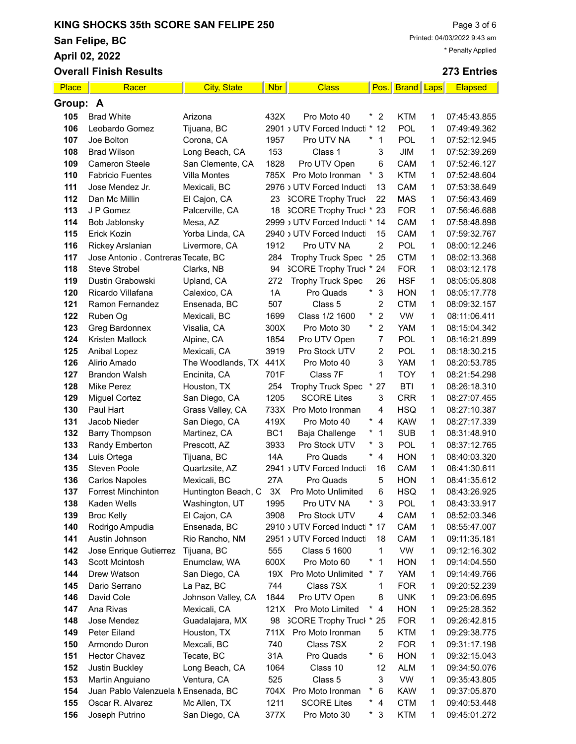San Felipe, BC

April 02, 2022

|            | <b>Overall Finish Results</b>       |                            |                 |                                                    |                            |                          |              | 273 Entries                  |
|------------|-------------------------------------|----------------------------|-----------------|----------------------------------------------------|----------------------------|--------------------------|--------------|------------------------------|
| Place      | Racer                               | <b>City, State</b>         | <b>Nbr</b>      | <b>Class</b>                                       | Pos.                       | <b>Brand</b> Laps        |              | <b>Elapsed</b>               |
| Group: A   |                                     |                            |                 |                                                    |                            |                          |              |                              |
| 105        | <b>Brad White</b>                   | Arizona                    | 432X            | Pro Moto 40                                        | $\ast$<br>2                | <b>KTM</b>               | 1            | 07:45:43.855                 |
| 106        | Leobardo Gomez                      | Tijuana, BC                |                 | 2901 JUTV Forced Inducti                           | $\ast$<br>12               | POL                      | 1            | 07:49:49.362                 |
| 107        | Joe Bolton                          | Corona, CA                 | 1957            | Pro UTV NA                                         | $^{\star}$<br>$\mathbf{1}$ | <b>POL</b>               | 1            | 07:52:12.945                 |
| 108        | <b>Brad Wilson</b>                  | Long Beach, CA             | 153             | Class 1                                            | 3                          | JIM                      | 1            | 07:52:39.269                 |
| 109        | <b>Cameron Steele</b>               | San Clemente, CA           | 1828            | Pro UTV Open                                       | 6                          | CAM                      | 1            | 07:52:46.127                 |
| 110        | <b>Fabricio Fuentes</b>             | <b>Villa Montes</b>        | 785X            | Pro Moto Ironman                                   | $\ast$<br>3                | <b>KTM</b>               | 1            | 07:52:48.604                 |
| 111        | Jose Mendez Jr.                     | Mexicali, BC               |                 | 2976 JUTV Forced Inducti                           | 13                         | CAM                      | 1            | 07:53:38.649                 |
| 112        | Dan Mc Millin                       | El Cajon, CA               | 23              | <b>SCORE Trophy Truck</b>                          | 22                         | <b>MAS</b>               | 1            | 07:56:43.469                 |
| 113        | J P Gomez                           | Palcerville, CA            | 18              | 3CORE Trophy Truck * 23                            |                            | <b>FOR</b>               | 1            | 07:56:46.688                 |
| 114        | Bob Jablonsky                       | Mesa, AZ                   |                 | 2999 > UTV Forced Inducti * 14                     |                            | CAM                      | 1            | 07:58:48.898                 |
| 115        | Erick Kozin                         | Yorba Linda, CA            |                 | 2940 > UTV Forced Inducti                          | 15                         | CAM                      | 1            | 07:59:32.767                 |
| 116        | Rickey Arslanian                    | Livermore, CA              | 1912            | Pro UTV NA                                         | $\overline{2}$             | POL                      | 1            | 08:00:12.246                 |
| 117        | Jose Antonio . Contreras Tecate, BC |                            | 284             | <b>Trophy Truck Spec</b>                           | $*25$                      | <b>CTM</b>               | 1            | 08:02:13.368                 |
| 118        | Steve Strobel                       | Clarks, NB                 | 94              | 3CORE Trophy Truck * 24                            |                            | <b>FOR</b>               | 1            | 08:03:12.178                 |
| 119        | Dustin Grabowski                    | Upland, CA                 | 272             | <b>Trophy Truck Spec</b>                           | 26                         | <b>HSF</b>               | 1            | 08:05:05.808                 |
| 120        | Ricardo Villafana                   | Calexico, CA               | 1A              | Pro Quads                                          | $\mathbf{3}$<br>$\ast$     | <b>HON</b>               | 1            | 08:05:17.778                 |
| 121        | Ramon Fernandez                     | Ensenada, BC               | 507             | Class 5                                            | $\overline{c}$             | <b>CTM</b>               | 1            | 08:09:32.157                 |
| 122        | Ruben Og                            | Mexicali, BC               | 1699            | Class 1/2 1600                                     | $\overline{c}$<br>$\star$  | <b>VW</b>                | 1            | 08:11:06.411                 |
| 123        | Greg Bardonnex                      | Visalia, CA                | 300X            | Pro Moto 30                                        | $\star$<br>$\overline{2}$  | <b>YAM</b>               | 1            | 08:15:04.342                 |
| 124        | Kristen Matlock                     | Alpine, CA                 | 1854            | Pro UTV Open                                       | $\overline{7}$             | <b>POL</b>               | 1            | 08:16:21.899                 |
| 125        | Anibal Lopez                        | Mexicali, CA               | 3919            | Pro Stock UTV                                      | 2                          | POL                      | $\mathbf{1}$ | 08:18:30.215                 |
| 126        | Alirio Amado                        | The Woodlands, TX          | 441X            | Pro Moto 40                                        | 3                          | <b>YAM</b>               | 1            | 08:20:53.785                 |
| 127        | <b>Brandon Walsh</b>                | Encinita, CA               | 701F            | Class 7F                                           | 1                          | <b>TOY</b>               | 1            | 08:21:54.298                 |
| 128        | <b>Mike Perez</b>                   | Houston, TX                | 254             | <b>Trophy Truck Spec</b>                           | 27                         | <b>BTI</b>               | 1            | 08:26:18.310                 |
| 129        | <b>Miguel Cortez</b>                | San Diego, CA              | 1205            | <b>SCORE Lites</b>                                 | 3                          | <b>CRR</b>               | 1            | 08:27:07.455                 |
| 130        | Paul Hart                           | Grass Valley, CA           | 733X            | Pro Moto Ironman                                   | 4                          | <b>HSQ</b>               | 1            | 08:27:10.387                 |
| 131        | Jacob Nieder                        | San Diego, CA              | 419X            | Pro Moto 40                                        | $\star$<br>$\overline{4}$  | <b>KAW</b>               | 1            | 08:27:17.339                 |
| 132        | <b>Barry Thompson</b>               | Martinez, CA               | BC <sub>1</sub> | Baja Challenge                                     | 1                          | <b>SUB</b>               | 1            | 08:31:48.910                 |
| 133        | Randy Emberton                      | Prescott, AZ               | 3933            | Pro Stock UTV                                      | $\ast$<br>3                | POL                      | 1            | 08:37:12.765                 |
| 134        | Luis Ortega                         | Tijuana, BC                | 14A             | Pro Quads                                          | $\star$<br>$\overline{4}$  | <b>HON</b>               | 1            | 08:40:03.320                 |
| 135        | <b>Steven Poole</b>                 | Quartzsite, AZ             |                 | 2941 J UTV Forced Inducti                          | 16                         | CAM                      | 1            | 08:41:30.611                 |
| 136        | <b>Carlos Napoles</b>               | Mexicali, BC               | 27A             | Pro Quads                                          | 5                          | <b>HON</b>               | 1            | 08:41:35.612                 |
| 137        | <b>Forrest Minchinton</b>           | Huntington Beach, C        | 3X              | Pro Moto Unlimited                                 | 6                          | <b>HSQ</b>               | 1            | 08:43:26.925                 |
| 138        | Kaden Wells                         | Washington, UT             | 1995            | Pro UTV NA                                         | $\ast$<br>3                | <b>POL</b>               | 1            | 08:43:33.917                 |
| 139        | <b>Broc Kelly</b>                   | El Cajon, CA               | 3908            | Pro Stock UTV                                      | 4                          | CAM                      | 1            | 08:52:03.346                 |
| 140        | Rodrigo Ampudia                     | Ensenada, BC               |                 | 2910 JUTV Forced Inducti *                         | 17                         | CAM                      | 1            | 08:55:47.007                 |
| 141        | Austin Johnson                      | Rio Rancho, NM             |                 | 2951 JUTV Forced Inducti                           | 18                         | CAM                      | 1            | 09:11:35.181                 |
| 142        | Jose Enrique Gutierrez              | Tijuana, BC                | 555             | Class 5 1600                                       | 1                          | <b>VW</b>                | 1            | 09:12:16.302                 |
| 143        | Scott Mcintosh                      | Enumclaw, WA               | 600X            | Pro Moto 60                                        | $\mathbf{1}$               | <b>HON</b>               | 1            | 09:14:04.550                 |
| 144        | Drew Watson                         | San Diego, CA              | 19X             | Pro Moto Unlimited                                 | 7                          | <b>YAM</b>               | 1            | 09:14:49.766                 |
| 145        | Dario Serrano                       | La Paz, BC                 | 744             | Class 7SX                                          | 1                          | <b>FOR</b>               | 1            | 09:20:52.239                 |
| 146        | David Cole                          | Johnson Valley, CA         | 1844            | Pro UTV Open                                       | 8                          | <b>UNK</b>               | 1            | 09:23:06.695                 |
| 147        | Ana Rivas<br>Jose Mendez            | Mexicali, CA               | 121X            | Pro Moto Limited<br><b>SCORE Trophy Truck * 25</b> | 4<br>×                     | <b>HON</b><br><b>FOR</b> | 1            | 09:25:28.352                 |
| 148<br>149 | Peter Eiland                        | Guadalajara, MX            | 98              | Pro Moto Ironman                                   |                            |                          | 1            | 09:26:42.815                 |
|            | Armondo Duron                       | Houston, TX<br>Mexcali, BC | 711X<br>740     | Class 7SX                                          | 5                          | <b>KTM</b><br><b>FOR</b> | 1<br>1       | 09:29:38.775                 |
| 150<br>151 | <b>Hector Chavez</b>                | Tecate, BC                 | 31A             | Pro Quads                                          | 2<br>$\star$<br>$\,6$      | <b>HON</b>               | 1            | 09:31:17.198<br>09:32:15.043 |
| 152        | Justin Buckley                      | Long Beach, CA             | 1064            | Class 10                                           | 12                         | <b>ALM</b>               | 1            | 09:34:50.076                 |
| 153        | Martin Anguiano                     | Ventura, CA                | 525             | Class 5                                            | 3                          | <b>VW</b>                | 1            | 09:35:43.805                 |
| 154        | Juan Pablo Valenzuela MEnsenada, BC |                            | 704X            | Pro Moto Ironman                                   | $\star$<br>6               | <b>KAW</b>               | 1            | 09:37:05.870                 |
| 155        | Oscar R. Alvarez                    | Mc Allen, TX               | 1211            | <b>SCORE Lites</b>                                 | $\star$<br>4               | <b>CTM</b>               | 1            | 09:40:53.448                 |

Joseph Putrino San Diego, CA 377X Pro Moto 30 \* 3 KTM 1 09:45:01.272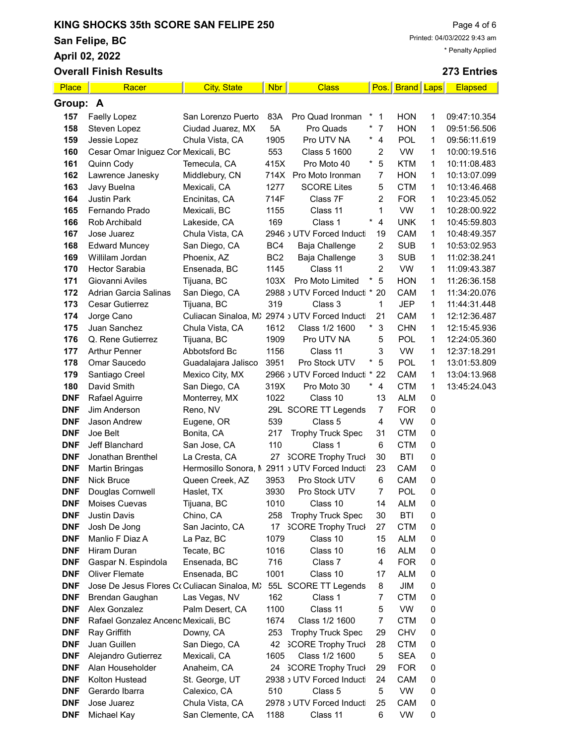San Felipe, BC

April 02, 2022

|                          | <b>Overall Finish Results</b>                |                              |                 |                                                       |                              |                          |              | 273 Entries                  |
|--------------------------|----------------------------------------------|------------------------------|-----------------|-------------------------------------------------------|------------------------------|--------------------------|--------------|------------------------------|
| Place                    | Racer                                        | <b>City, State</b>           | <b>Nbr</b>      | <b>Class</b>                                          | Pos.                         | <b>Brand Laps</b>        |              | <b>Elapsed</b>               |
| Group: A                 |                                              |                              |                 |                                                       |                              |                          |              |                              |
| 157                      | Faelly Lopez                                 | San Lorenzo Puerto           | 83A             | Pro Quad Ironman                                      | $*$ 1                        | <b>HON</b>               | 1            | 09:47:10.354                 |
| 158                      | Steven Lopez                                 | Ciudad Juarez, MX            | 5A              | Pro Quads                                             | $\ast$<br>$\overline{7}$     | <b>HON</b>               | 1            | 09:51:56.506                 |
| 159                      | Jessie Lopez                                 | Chula Vista, CA              | 1905            | Pro UTV NA                                            | $\star$<br>$\overline{4}$    | POL                      | $\mathbf{1}$ | 09:56:11.619                 |
| 160                      | Cesar Omar Iniguez Cor Mexicali, BC          |                              | 553             | Class 5 1600                                          | 2                            | <b>VW</b>                | 1            | 10:00:19.516                 |
| 161                      | Quinn Cody                                   | Temecula, CA                 | 415X            | Pro Moto 40                                           | $^\star$<br>5                | <b>KTM</b>               | 1            | 10:11:08.483                 |
| 162                      | Lawrence Janesky                             | Middlebury, CN               | 714X            | Pro Moto Ironman                                      | 7                            | <b>HON</b>               | $\mathbf{1}$ | 10:13:07.099                 |
| 163                      | Javy Buelna                                  | Mexicali, CA                 | 1277            | <b>SCORE Lites</b>                                    | 5                            | <b>CTM</b>               | 1            | 10:13:46.468                 |
| 164                      | <b>Justin Park</b>                           | Encinitas, CA                | 714F            | Class 7F                                              | 2                            | <b>FOR</b>               | 1            | 10:23:45.052                 |
| 165                      | Fernando Prado                               | Mexicali, BC                 | 1155            | Class 11                                              | 1                            | <b>VW</b>                | 1            | 10:28:00.922                 |
| 166                      | Rob Archibald                                | Lakeside, CA                 | 169             | Class 1                                               | $^{\star}$<br>$\overline{4}$ | <b>UNK</b>               | 1            | 10:45:59.803                 |
| 167                      | Jose Juarez                                  | Chula Vista, CA              |                 | 2946 > UTV Forced Inducti                             | 19                           | CAM                      | 1            | 10:48:49.357                 |
| 168                      | <b>Edward Muncey</b>                         | San Diego, CA                | BC4             | Baja Challenge                                        | 2                            | <b>SUB</b>               | 1            | 10:53:02.953                 |
| 169                      | Willilam Jordan                              | Phoenix, AZ                  | BC <sub>2</sub> | Baja Challenge                                        | 3                            | <b>SUB</b>               | 1            | 11:02:38.241                 |
| 170                      | <b>Hector Sarabia</b>                        | Ensenada, BC                 | 1145            | Class 11                                              | 2<br>$\ast$                  | <b>VW</b>                | 1            | 11:09:43.387                 |
| 171                      | Giovanni Aviles<br>Adrian Garcia Salinas     | Tijuana, BC                  | 103X            | Pro Moto Limited                                      | 5<br>20                      | <b>HON</b>               | 1            | 11:26:36.158                 |
| 172<br>173               | <b>Cesar Gutierrez</b>                       | San Diego, CA                | 319             | 2988 JUTV Forced Inducti *<br>Class 3                 | 1                            | CAM<br><b>JEP</b>        | 1<br>1       | 11:34:20.076<br>11:44:31.448 |
| 174                      | Jorge Cano                                   | Tijuana, BC                  |                 | Culiacan Sinaloa, M) 2974 > UTV Forced Inducti        | 21                           | CAM                      | 1            | 12:12:36.487                 |
| 175                      | Juan Sanchez                                 | Chula Vista, CA              | 1612            | Class 1/2 1600                                        | $^{\star}$<br>3              | <b>CHN</b>               | 1            | 12:15:45.936                 |
| 176                      | Q. Rene Gutierrez                            | Tijuana, BC                  | 1909            | Pro UTV NA                                            | 5                            | POL                      | 1            | 12:24:05.360                 |
| 177                      | <b>Arthur Penner</b>                         | Abbotsford Bc                | 1156            | Class 11                                              | 3                            | <b>VW</b>                | 1            | 12:37:18.291                 |
| 178                      | Omar Saucedo                                 | Guadalajara Jalisco          | 3951            | Pro Stock UTV                                         | 5                            | POL                      | 1            | 13:01:53.809                 |
| 179                      | Santiago Creel                               | Mexico City, MX              |                 | 2966 > UTV Forced Inducti *                           | 22                           | CAM                      | 1            | 13:04:13.968                 |
| 180                      | David Smith                                  | San Diego, CA                | 319X            | Pro Moto 30                                           | $\star$<br>4                 | <b>CTM</b>               | 1            | 13:45:24.043                 |
| <b>DNF</b>               | Rafael Aguirre                               | Monterrey, MX                | 1022            | Class 10                                              | 13                           | <b>ALM</b>               | 0            |                              |
| <b>DNF</b>               | Jim Anderson                                 | Reno, NV                     |                 | 29L SCORE TT Legends                                  | $\overline{7}$               | <b>FOR</b>               | 0            |                              |
| <b>DNF</b>               | Jason Andrew                                 | Eugene, OR                   | 539             | Class 5                                               | 4                            | <b>VW</b>                | 0            |                              |
| <b>DNF</b>               | Joe Belt                                     | Bonita, CA                   | 217             | <b>Trophy Truck Spec</b>                              | 31                           | <b>CTM</b>               | 0            |                              |
| <b>DNF</b>               | Jeff Blanchard                               | San Jose, CA                 | 110             | Class 1                                               | 6                            | <b>CTM</b>               | 0            |                              |
| <b>DNF</b>               | Jonathan Brenthel                            | La Cresta, CA                | 27              | <b>SCORE Trophy Truck</b>                             | 30                           | <b>BTI</b>               | 0            |                              |
| <b>DNF</b>               | <b>Martin Bringas</b>                        | Hermosillo Sonora, M         |                 | 2911 JUTV Forced Inducti                              | 23                           | CAM                      | 0            |                              |
| <b>DNF</b>               | <b>Nick Bruce</b>                            | Queen Creek, AZ              | 3953            | Pro Stock UTV                                         | 6                            | <b>CAM</b>               | 0            |                              |
| <b>DNF</b>               | Douglas Cornwell                             | Haslet, TX                   | 3930            | Pro Stock UTV                                         | 7                            | POL                      | 0            |                              |
| DNF                      | Moises Cuevas                                | Tijuana, BC                  | 1010            | Class 10                                              | 14                           | <b>ALM</b><br><b>BTI</b> | 0            |                              |
| <b>DNF</b><br><b>DNF</b> | <b>Justin Davis</b><br>Josh De Jong          | Chino, CA<br>San Jacinto, CA | 258<br>17       | <b>Trophy Truck Spec</b><br><b>SCORE Trophy Truck</b> | 30<br>27                     | <b>CTM</b>               | 0<br>0       |                              |
| <b>DNF</b>               | Manlio F Diaz A                              | La Paz, BC                   | 1079            | Class 10                                              | 15                           | <b>ALM</b>               | 0            |                              |
| <b>DNF</b>               | Hiram Duran                                  | Tecate, BC                   | 1016            | Class 10                                              | 16                           | <b>ALM</b>               | 0            |                              |
| <b>DNF</b>               | Gaspar N. Espindola                          | Ensenada, BC                 | 716             | Class 7                                               | 4                            | <b>FOR</b>               | 0            |                              |
| <b>DNF</b>               | <b>Oliver Flemate</b>                        | Ensenada, BC                 | 1001            | Class 10                                              | 17                           | <b>ALM</b>               | 0            |                              |
| <b>DNF</b>               | Jose De Jesus Flores Co Culiacan Sinaloa, M. |                              |                 | 55L SCORE TT Legends                                  | 8                            | JIM                      | 0            |                              |
| <b>DNF</b>               | Brendan Gaughan                              | Las Vegas, NV                | 162             | Class 1                                               | 7                            | <b>CTM</b>               | 0            |                              |
| <b>DNF</b>               | Alex Gonzalez                                | Palm Desert, CA              | 1100            | Class 11                                              | 5                            | <b>VW</b>                | 0            |                              |
| <b>DNF</b>               | Rafael Gonzalez Ancenc Mexicali, BC          |                              | 1674            | Class 1/2 1600                                        | 7                            | <b>CTM</b>               | 0            |                              |
| <b>DNF</b>               | Ray Griffith                                 | Downy, CA                    | 253             | <b>Trophy Truck Spec</b>                              | 29                           | <b>CHV</b>               | 0            |                              |
| <b>DNF</b>               | Juan Guillen                                 | San Diego, CA                | 42              | <b>SCORE Trophy Truck</b>                             | 28                           | <b>CTM</b>               | 0            |                              |
| <b>DNF</b>               | Alejandro Gutierrez                          | Mexicali, CA                 | 1605            | Class 1/2 1600                                        | 5                            | <b>SEA</b>               | 0            |                              |
| <b>DNF</b>               | Alan Householder                             | Anaheim, CA                  | 24              | <b>SCORE Trophy Truck</b>                             | 29                           | <b>FOR</b>               | 0            |                              |
| <b>DNF</b>               | Kolton Hustead                               | St. George, UT               |                 | 2938 JUTV Forced Inducti                              | 24                           | CAM                      | 0            |                              |
| <b>DNF</b>               | Gerardo Ibarra                               | Calexico, CA                 | 510             | Class 5                                               | 5                            | VW                       | 0            |                              |
| <b>DNF</b><br><b>DNF</b> | Jose Juarez                                  | Chula Vista, CA              |                 | 2978 J UTV Forced Inducti                             | 25<br>6                      | CAM<br><b>VW</b>         | 0            |                              |
|                          | Michael Kay                                  | San Clemente, CA             | 1188            | Class 11                                              |                              |                          | 0            |                              |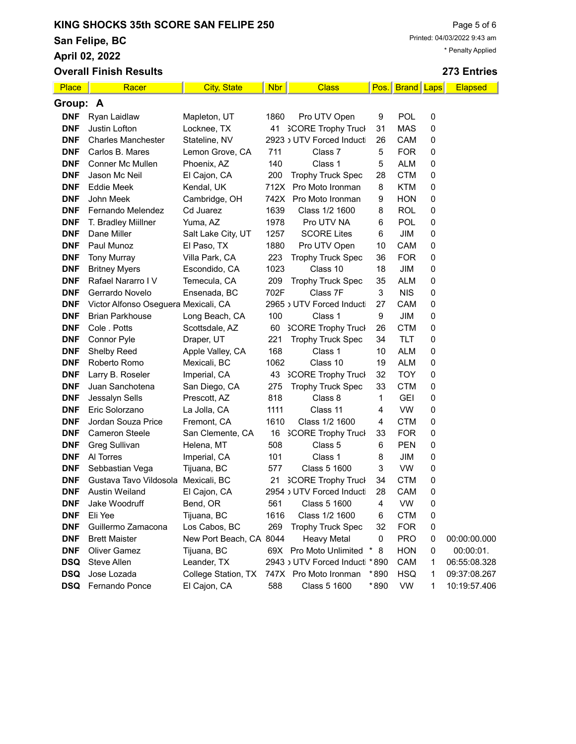San Felipe, BC

April 02, 2022

|            | <b>Overall Finish Results</b>        |                         |            |                                |      |                 |   | 273 Entries  |
|------------|--------------------------------------|-------------------------|------------|--------------------------------|------|-----------------|---|--------------|
| Place      | Racer                                | <b>City, State</b>      | <b>Nbr</b> | <b>Class</b>                   |      | Pos. Brand Laps |   | Elapsed      |
| Group: A   |                                      |                         |            |                                |      |                 |   |              |
| <b>DNF</b> | Ryan Laidlaw                         | Mapleton, UT            | 1860       | Pro UTV Open                   | 9    | POL             | 0 |              |
| <b>DNF</b> | Justin Lofton                        | Locknee, TX             |            | 41 SCORE Trophy Truck          | 31   | <b>MAS</b>      | 0 |              |
| <b>DNF</b> | <b>Charles Manchester</b>            | Stateline, NV           |            | 2923 J UTV Forced Inducti      | 26   | CAM             | 0 |              |
| <b>DNF</b> | Carlos B. Mares                      | Lemon Grove, CA         | 711        | Class 7                        | 5    | <b>FOR</b>      | 0 |              |
| <b>DNF</b> | Conner Mc Mullen                     | Phoenix, AZ             | 140        | Class 1                        | 5    | <b>ALM</b>      | 0 |              |
| <b>DNF</b> | Jason Mc Neil                        | El Cajon, CA            | 200        | <b>Trophy Truck Spec</b>       | 28   | <b>CTM</b>      | 0 |              |
| <b>DNF</b> | Eddie Meek                           | Kendal, UK              | 712X       | Pro Moto Ironman               | 8    | <b>KTM</b>      | 0 |              |
| <b>DNF</b> | John Meek                            | Cambridge, OH           |            | 742X Pro Moto Ironman          | 9    | <b>HON</b>      | 0 |              |
| <b>DNF</b> | Fernando Melendez                    | Cd Juarez               | 1639       | Class 1/2 1600                 | 8    | <b>ROL</b>      | 0 |              |
| <b>DNF</b> | T. Bradley Miillner                  | Yuma, AZ                | 1978       | Pro UTV NA                     | 6    | POL             | 0 |              |
| <b>DNF</b> | Dane Miller                          | Salt Lake City, UT      | 1257       | <b>SCORE Lites</b>             | 6    | JIM             | 0 |              |
| <b>DNF</b> | Paul Munoz                           | El Paso, TX             | 1880       | Pro UTV Open                   | 10   | CAM             | 0 |              |
| <b>DNF</b> | <b>Tony Murray</b>                   | Villa Park, CA          | 223        | <b>Trophy Truck Spec</b>       | 36   | <b>FOR</b>      | 0 |              |
| <b>DNF</b> | <b>Britney Myers</b>                 | Escondido, CA           | 1023       | Class 10                       | 18   | JIM             | 0 |              |
| <b>DNF</b> | Rafael Nararro IV                    | Temecula, CA            | 209        | <b>Trophy Truck Spec</b>       | 35   | <b>ALM</b>      | 0 |              |
| <b>DNF</b> | Gerrardo Novelo                      | Ensenada, BC            | 702F       | Class 7F                       | 3    | <b>NIS</b>      | 0 |              |
| <b>DNF</b> | Victor Alfonso Oseguera Mexicali, CA |                         |            | 2965 > UTV Forced Inducti      | 27   | <b>CAM</b>      | 0 |              |
| <b>DNF</b> | <b>Brian Parkhouse</b>               | Long Beach, CA          | 100        | Class 1                        | 9    | JIM             | 0 |              |
| <b>DNF</b> | Cole . Potts                         | Scottsdale, AZ          | 60         | <b>SCORE Trophy Truck</b>      | 26   | <b>CTM</b>      | 0 |              |
| <b>DNF</b> | Connor Pyle                          | Draper, UT              | 221        | <b>Trophy Truck Spec</b>       | 34   | TLT             | 0 |              |
| <b>DNF</b> | <b>Shelby Reed</b>                   | Apple Valley, CA        | 168        | Class 1                        | 10   | <b>ALM</b>      | 0 |              |
| <b>DNF</b> | Roberto Romo                         | Mexicali, BC            | 1062       | Class 10                       | 19   | <b>ALM</b>      | 0 |              |
| <b>DNF</b> | Larry B. Roseler                     | Imperial, CA            | 43         | <b>SCORE Trophy Truck</b>      | 32   | <b>TOY</b>      | 0 |              |
| <b>DNF</b> | Juan Sanchotena                      | San Diego, CA           | 275        | <b>Trophy Truck Spec</b>       | 33   | <b>CTM</b>      | 0 |              |
| <b>DNF</b> | Jessalyn Sells                       | Prescott, AZ            | 818        | Class 8                        | 1    | <b>GEI</b>      | 0 |              |
| <b>DNF</b> | Eric Solorzano                       | La Jolla, CA            | 1111       | Class 11                       | 4    | <b>VW</b>       | 0 |              |
| <b>DNF</b> | Jordan Souza Price                   | Fremont, CA             | 1610       | Class 1/2 1600                 | 4    | <b>CTM</b>      | 0 |              |
| <b>DNF</b> | Cameron Steele                       | San Clemente, CA        | 16         | <b>SCORE Trophy Truck</b>      | 33   | <b>FOR</b>      | 0 |              |
| <b>DNF</b> | <b>Greg Sullivan</b>                 | Helena, MT              | 508        | Class 5                        | 6    | <b>PEN</b>      | 0 |              |
| <b>DNF</b> | Al Torres                            | Imperial, CA            | 101        | Class 1                        | 8    | JIM             | 0 |              |
| <b>DNF</b> | Sebbastian Vega                      | Tijuana, BC             | 577        | Class 5 1600                   | 3    | <b>VW</b>       | 0 |              |
| <b>DNF</b> | Gustava Tavo Vildosola Mexicali, BC  |                         | 21         | <b>SCORE Trophy Truck</b>      | 34   | <b>CTM</b>      | 0 |              |
| <b>DNF</b> | <b>Austin Weiland</b>                | El Cajon, CA            |            | 2954 JUTV Forced Inducti       | 28   | <b>CAM</b>      | 0 |              |
| <b>DNF</b> | Jake Woodruff                        | Bend, OR                | 561        | Class 5 1600                   | 4    | <b>VW</b>       | 0 |              |
| <b>DNF</b> | Eli Yee                              | Tijuana, BC             | 1616       | Class 1/2 1600                 | 6    | <b>CTM</b>      | 0 |              |
| <b>DNF</b> | Guillermo Zamacona                   | Los Cabos, BC           | 269        | <b>Trophy Truck Spec</b>       | 32   | <b>FOR</b>      | 0 |              |
| <b>DNF</b> | <b>Brett Maister</b>                 | New Port Beach, CA 8044 |            | <b>Heavy Metal</b>             | 0    | <b>PRO</b>      | 0 | 00:00:00.000 |
| <b>DNF</b> | <b>Oliver Gamez</b>                  | Tijuana, BC             |            | 69X Pro Moto Unlimited         | 8    | <b>HON</b>      | 0 | 00:00:01.    |
| <b>DSQ</b> | Steve Allen                          | Leander, TX             |            | 2943 JUTV Forced Inducti * 890 |      | CAM             | 1 | 06:55:08.328 |
| <b>DSQ</b> | Jose Lozada                          | College Station, TX     |            | 747X Pro Moto Ironman          | *890 | <b>HSQ</b>      | 1 | 09:37:08.267 |
| <b>DSQ</b> | Fernando Ponce                       | El Cajon, CA            | 588        | Class 5 1600                   | *890 | VW              | 1 | 10:19:57.406 |